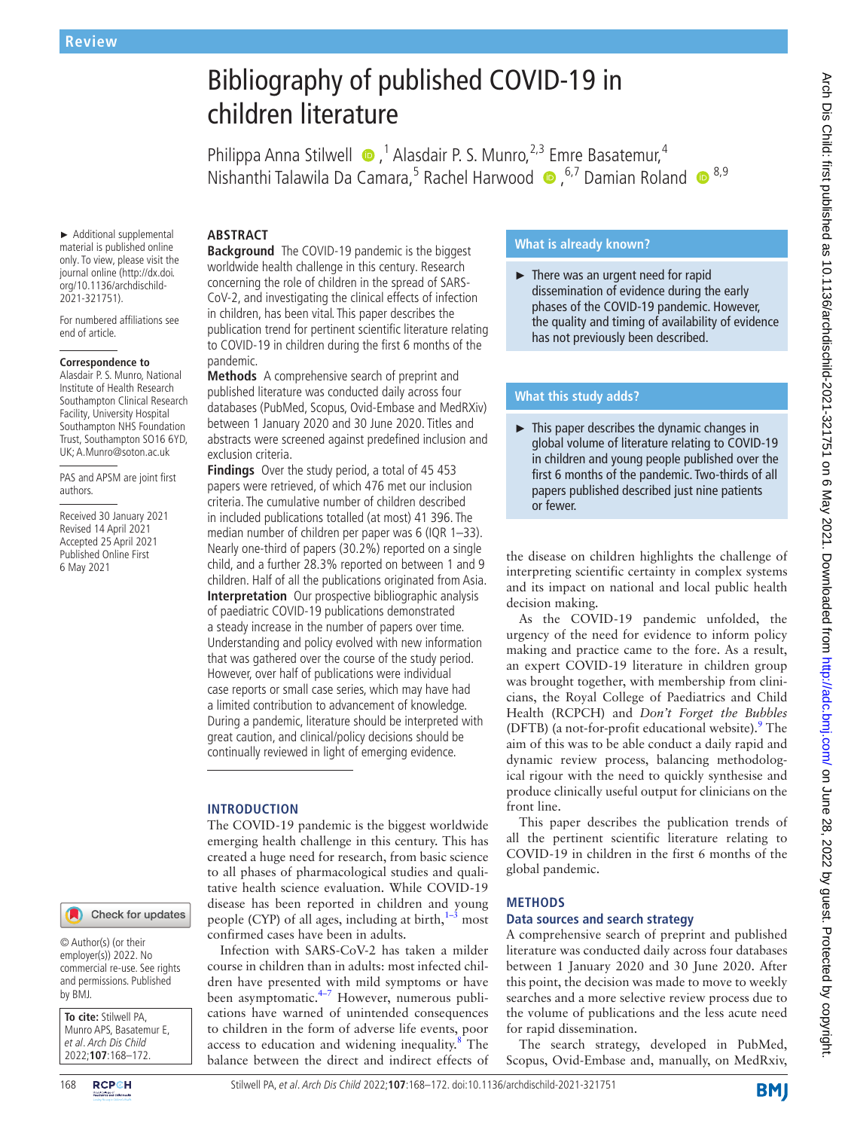# Bibliography of published COVID-19 in children literature

Philippa Anna Stilwell  $\bullet$ ,<sup>1</sup> Alasdair P. S. Munro,<sup>2,3</sup> Emre Basatemur,<sup>4</sup> NishanthiTalawila Da Camara,<sup>5</sup> Rachel Harwood (D, <sup>6,7</sup> Damian Roland (D, 8,9)

► Additional supplemental material is published online only. To view, please visit the journal online (http://dx.doi. org/10.1136/archdischild-2021-321751).

For numbered affiliations see end of article.

#### **Correspondence to**

Alasdair P. S. Munro, National Institute of Health Research Southampton Clinical Research Facility, University Hospital Southampton NHS Foundation Trust, Southampton SO16 6YD, UK; A.Munro@soton.ac.uk

PAS and APSM are joint first authors.

Received 30 January 2021 Revised 14 April 2021 Accepted 25 April 2021 Published Online First 6 May 2021

#### Check for updates

© Author(s) (or their employer(s)) 2022. No commercial re-use. See rights and permissions. Published by BMJ.

**To cite:** Stilwell PA, Munro APS, Basatemur E, et al. Arch Dis Child 2022;**107**:168–172.

**ABSTRACT Background** The COVID-19 pandemic is the biggest worldwide health challenge in this century. Research concerning the role of children in the spread of SARS-CoV-2, and investigating the clinical effects of infection in children, has been vital. This paper describes the publication trend for pertinent scientific literature relating to COVID-19 in children during the first 6 months of the pandemic.

**Methods** A comprehensive search of preprint and published literature was conducted daily across four databases (PubMed, Scopus, Ovid-Embase and MedRXiv) between 1 January 2020 and 30 June 2020. Titles and abstracts were screened against predefined inclusion and exclusion criteria.

**Findings** Over the study period, a total of 45 453 papers were retrieved, of which 476 met our inclusion criteria. The cumulative number of children described in included publications totalled (at most) 41 396. The median number of children per paper was 6 (IQR 1–33). Nearly one-third of papers (30.2%) reported on a single child, and a further 28.3% reported on between 1 and 9 children. Half of all the publications originated from Asia. **Interpretation** Our prospective bibliographic analysis of paediatric COVID-19 publications demonstrated a steady increase in the number of papers over time. Understanding and policy evolved with new information that was gathered over the course of the study period. However, over half of publications were individual case reports or small case series, which may have had a limited contribution to advancement of knowledge. During a pandemic, literature should be interpreted with great caution, and clinical/policy decisions should be continually reviewed in light of emerging evidence.

#### **INTRODUCTION**

The COVID-19 pandemic is the biggest worldwide emerging health challenge in this century. This has created a huge need for research, from basic science to all phases of pharmacological studies and qualitative health science evaluation. While COVID-19 disease has been reported in children and young people (CYP) of all ages, including at birth, $1-3$  most confirmed cases have been in adults.

Infection with SARS-CoV-2 has taken a milder course in children than in adults: most infected children have presented with mild symptoms or have been asymptomatic.<sup>[4–7](#page-4-1)</sup> However, numerous publications have warned of unintended consequences to children in the form of adverse life events, poor access to education and widening inequality.<sup>8</sup> The balance between the direct and indirect effects of

# **What is already known?**

► There was an urgent need for rapid dissemination of evidence during the early phases of the COVID-19 pandemic. However, the quality and timing of availability of evidence has not previously been described.

## **What this study adds?**

► This paper describes the dynamic changes in global volume of literature relating to COVID-19 in children and young people published over the first 6 months of the pandemic. Two-thirds of all papers published described just nine patients or fewer.

the disease on children highlights the challenge of interpreting scientific certainty in complex systems and its impact on national and local public health decision making.

As the COVID-19 pandemic unfolded, the urgency of the need for evidence to inform policy making and practice came to the fore. As a result, an expert COVID-19 literature in children group was brought together, with membership from clinicians, the Royal College of Paediatrics and Child Health (RCPCH) and *Don't Forget the Bubbles* (DFTB) (a not-for-profit educational website).<sup>[9](#page-4-3)</sup> The aim of this was to be able conduct a daily rapid and dynamic review process, balancing methodological rigour with the need to quickly synthesise and produce clinically useful output for clinicians on the front line.

This paper describes the publication trends of all the pertinent scientific literature relating to COVID-19 in children in the first 6 months of the global pandemic.

#### **METHODS**

## **Data sources and search strategy**

A comprehensive search of preprint and published literature was conducted daily across four databases between 1 January 2020 and 30 June 2020. After this point, the decision was made to move to weekly searches and a more selective review process due to the volume of publications and the less acute need for rapid dissemination.

The search strategy, developed in PubMed, Scopus, Ovid-Embase and, manually, on MedRxiv,

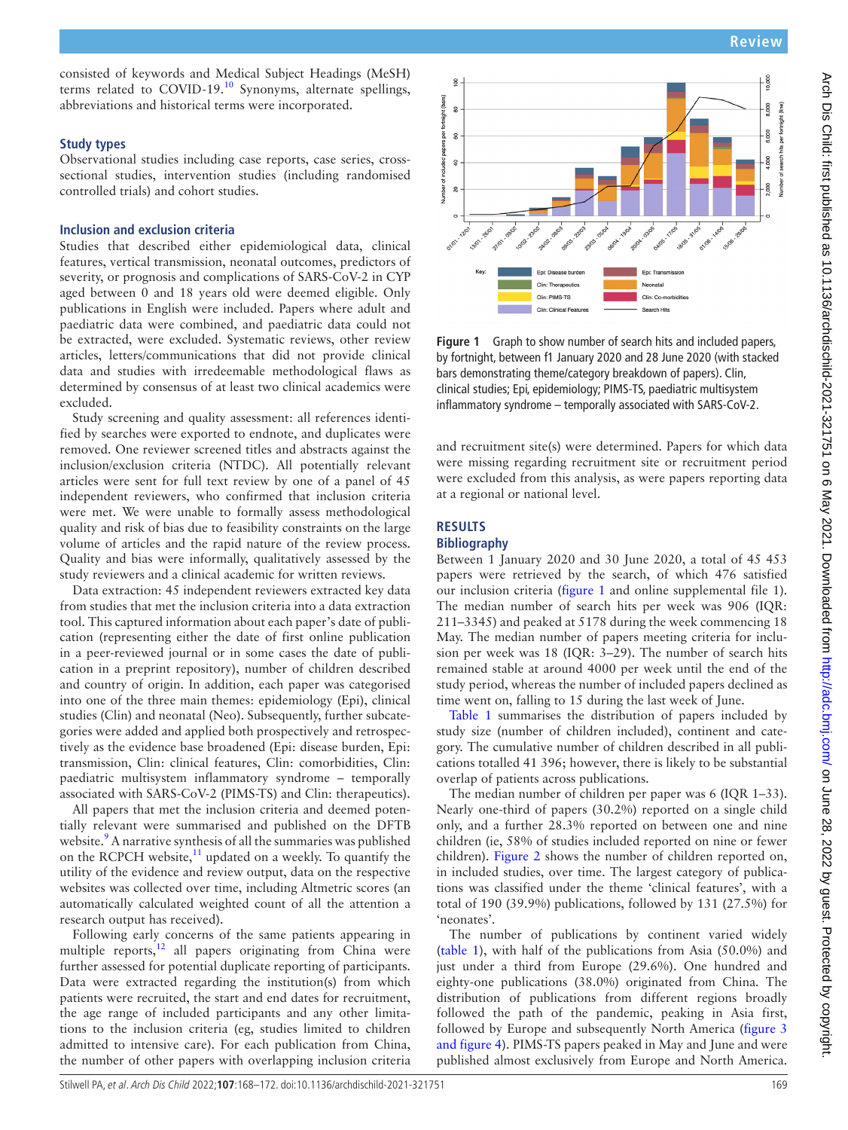consisted of keywords and Medical Subject Headings (MeSH) terms related to COVID-19.[10](#page-4-4) Synonyms, alternate spellings, abbreviations and historical terms were incorporated.

## **Study types**

Observational studies including case reports, case series, crosssectional studies, intervention studies (including randomised controlled trials) and cohort studies.

## **Inclusion and exclusion criteria**

Studies that described either epidemiological data, clinical features, vertical transmission, neonatal outcomes, predictors of severity, or prognosis and complications of SARS-CoV-2 in CYP aged between 0 and 18 years old were deemed eligible. Only publications in English were included. Papers where adult and paediatric data were combined, and paediatric data could not be extracted, were excluded. Systematic reviews, other review articles, letters/communications that did not provide clinical data and studies with irredeemable methodological flaws as determined by consensus of at least two clinical academics were excluded.

Study screening and quality assessment: all references identified by searches were exported to endnote, and duplicates were removed. One reviewer screened titles and abstracts against the inclusion/exclusion criteria (NTDC). All potentially relevant articles were sent for full text review by one of a panel of 45 independent reviewers, who confirmed that inclusion criteria were met. We were unable to formally assess methodological quality and risk of bias due to feasibility constraints on the large volume of articles and the rapid nature of the review process. Quality and bias were informally, qualitatively assessed by the study reviewers and a clinical academic for written reviews.

Data extraction: 45 independent reviewers extracted key data from studies that met the inclusion criteria into a data extraction tool. This captured information about each paper's date of publication (representing either the date of first online publication in a peer-reviewed journal or in some cases the date of publication in a preprint repository), number of children described and country of origin. In addition, each paper was categorised into one of the three main themes: epidemiology (Epi), clinical studies (Clin) and neonatal (Neo). Subsequently, further subcategories were added and applied both prospectively and retrospectively as the evidence base broadened (Epi: disease burden, Epi: transmission, Clin: clinical features, Clin: comorbidities, Clin: paediatric multisystem inflammatory syndrome – temporally associated with SARS-CoV-2 (PIMS-TS) and Clin: therapeutics).

All papers that met the inclusion criteria and deemed potentially relevant were summarised and published on the DFTB website.<sup>9</sup> A narrative synthesis of all the summaries was published on the RCPCH website, $11$  updated on a weekly. To quantify the utility of the evidence and review output, data on the respective websites was collected over time, including Altmetric scores (an automatically calculated weighted count of all the attention a research output has received).

Following early concerns of the same patients appearing in multiple reports, $12$  all papers originating from China were further assessed for potential duplicate reporting of participants. Data were extracted regarding the institution(s) from which patients were recruited, the start and end dates for recruitment, the age range of included participants and any other limitations to the inclusion criteria (eg, studies limited to children admitted to intensive care). For each publication from China, the number of other papers with overlapping inclusion criteria



<span id="page-1-0"></span>**Figure 1** Graph to show number of search hits and included papers, by fortnight, between f1 January 2020 and 28 June 2020 (with stacked bars demonstrating theme/category breakdown of papers). Clin, clinical studies; Epi, epidemiology; PIMS-TS, paediatric multisystem inflammatory syndrome – temporally associated with SARS-CoV-2.

and recruitment site(s) were determined. Papers for which data were missing regarding recruitment site or recruitment period were excluded from this analysis, as were papers reporting data at a regional or national level.

# **RESULTS**

# **Bibliography**

Between 1 January 2020 and 30 June 2020, a total of 45 453 papers were retrieved by the search, of which 476 satisfied our inclusion criteria ([figure](#page-1-0) 1 and [online supplemental file 1\)](https://dx.doi.org/10.1136/archdischild-2021-321751). The median number of search hits per week was 906 (IQR: 211–3345) and peaked at 5178 during the week commencing 18 May. The median number of papers meeting criteria for inclusion per week was 18 (IQR: 3–29). The number of search hits remained stable at around 4000 per week until the end of the study period, whereas the number of included papers declined as time went on, falling to 15 during the last week of June.

[Table](#page-2-0) 1 summarises the distribution of papers included by study size (number of children included), continent and category. The cumulative number of children described in all publications totalled 41 396; however, there is likely to be substantial overlap of patients across publications.

The median number of children per paper was 6 (IQR 1–33). Nearly one-third of papers (30.2%) reported on a single child only, and a further 28.3% reported on between one and nine children (ie, 58% of studies included reported on nine or fewer children). [Figure](#page-2-1) 2 shows the number of children reported on, in included studies, over time. The largest category of publications was classified under the theme 'clinical features', with a total of 190 (39.9%) publications, followed by 131 (27.5%) for 'neonates'.

The number of publications by continent varied widely ([table](#page-2-0) 1), with half of the publications from Asia (50.0%) and just under a third from Europe (29.6%). One hundred and eighty-one publications (38.0%) originated from China. The distribution of publications from different regions broadly followed the path of the pandemic, peaking in Asia first, followed by Europe and subsequently North America ([figure](#page-2-2) 3 [and figure 4\)](#page-2-2). PIMS-TS papers peaked in May and June and were published almost exclusively from Europe and North America.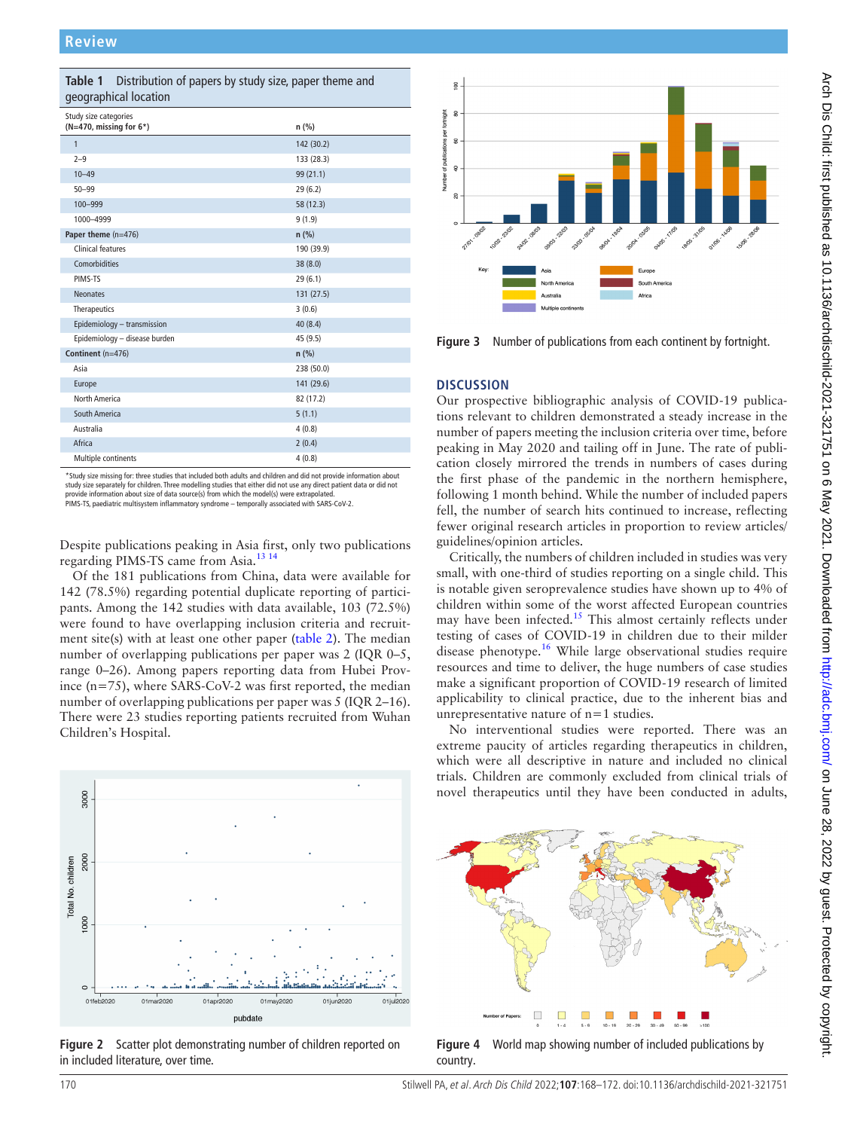<span id="page-2-0"></span>

| Distribution of papers by study size, paper theme and<br>Table 1<br>geographical location |            |
|-------------------------------------------------------------------------------------------|------------|
| Study size categories<br>( $N=470$ , missing for $6*$ )                                   | n (%)      |
| $\mathbf{1}$                                                                              | 142 (30.2) |
| $2 - 9$                                                                                   | 133 (28.3) |
| $10 - 49$                                                                                 | 99 (21.1)  |
| $50 - 99$                                                                                 | 29(6.2)    |
| 100-999                                                                                   | 58 (12.3)  |
| 1000-4999                                                                                 | 9(1.9)     |
| Paper theme (n=476)                                                                       | $n$ (%)    |
| Clinical features                                                                         | 190 (39.9) |
| Comorbidities                                                                             | 38 (8.0)   |
| PIMS-TS                                                                                   | 29(6.1)    |
| <b>Neonates</b>                                                                           | 131 (27.5) |
| Therapeutics                                                                              | 3(0.6)     |
| Epidemiology - transmission                                                               | 40(8.4)    |
| Epidemiology - disease burden                                                             | 45 (9.5)   |
| Continent (n=476)                                                                         | n(%)       |
| Asia                                                                                      | 238 (50.0) |
| Europe                                                                                    | 141 (29.6) |
| North America                                                                             | 82 (17.2)  |
| South America                                                                             | 5(1.1)     |
| Australia                                                                                 | 4(0.8)     |
| Africa                                                                                    | 2(0.4)     |
| Multiple continents                                                                       | 4(0.8)     |

\*Study size missing for: three studies that included both adults and children and did not provide information about study size separately for children. Three modelling studies that either did not use any direct patient data or did not<br>provide information about size of data source(s) from which the model(s) were extrapolated.

PIMS-TS, paediatric multisystem inflammatory syndrome – temporally associated with SARS-CoV-2.

Despite publications peaking in Asia first, only two publications regarding PIMS-TS came from Asia[.13 14](#page-4-7)

Of the 181 publications from China, data were available for 142 (78.5%) regarding potential duplicate reporting of participants. Among the 142 studies with data available, 103 (72.5%) were found to have overlapping inclusion criteria and recruitment site(s) with at least one other paper ([table](#page-3-0) 2). The median number of overlapping publications per paper was 2 (IQR 0–5, range 0–26). Among papers reporting data from Hubei Province (n=75), where SARS-CoV-2 was first reported, the median number of overlapping publications per paper was 5 (IQR 2–16). There were 23 studies reporting patients recruited from Wuhan Children's Hospital.



<span id="page-2-1"></span>**Figure 2** Scatter plot demonstrating number of children reported on in included literature, over time.



<span id="page-2-2"></span>**Figure 3** Number of publications from each continent by fortnight.

#### **DISCUSSION**

Our prospective bibliographic analysis of COVID-19 publications relevant to children demonstrated a steady increase in the number of papers meeting the inclusion criteria over time, before peaking in May 2020 and tailing off in June. The rate of publication closely mirrored the trends in numbers of cases during the first phase of the pandemic in the northern hemisphere, following 1 month behind. While the number of included papers fell, the number of search hits continued to increase, reflecting fewer original research articles in proportion to review articles/ guidelines/opinion articles.

Critically, the numbers of children included in studies was very small, with one-third of studies reporting on a single child. This is notable given seroprevalence studies have shown up to 4% of children within some of the worst affected European countries may have been infected.<sup>[15](#page-4-8)</sup> This almost certainly reflects under testing of cases of COVID-19 in children due to their milder disease phenotype.<sup>[16](#page-4-9)</sup> While large observational studies require resources and time to deliver, the huge numbers of case studies make a significant proportion of COVID-19 research of limited applicability to clinical practice, due to the inherent bias and unrepresentative nature of n=1 studies.

No interventional studies were reported. There was an extreme paucity of articles regarding therapeutics in children, which were all descriptive in nature and included no clinical trials. Children are commonly excluded from clinical trials of novel therapeutics until they have been conducted in adults,

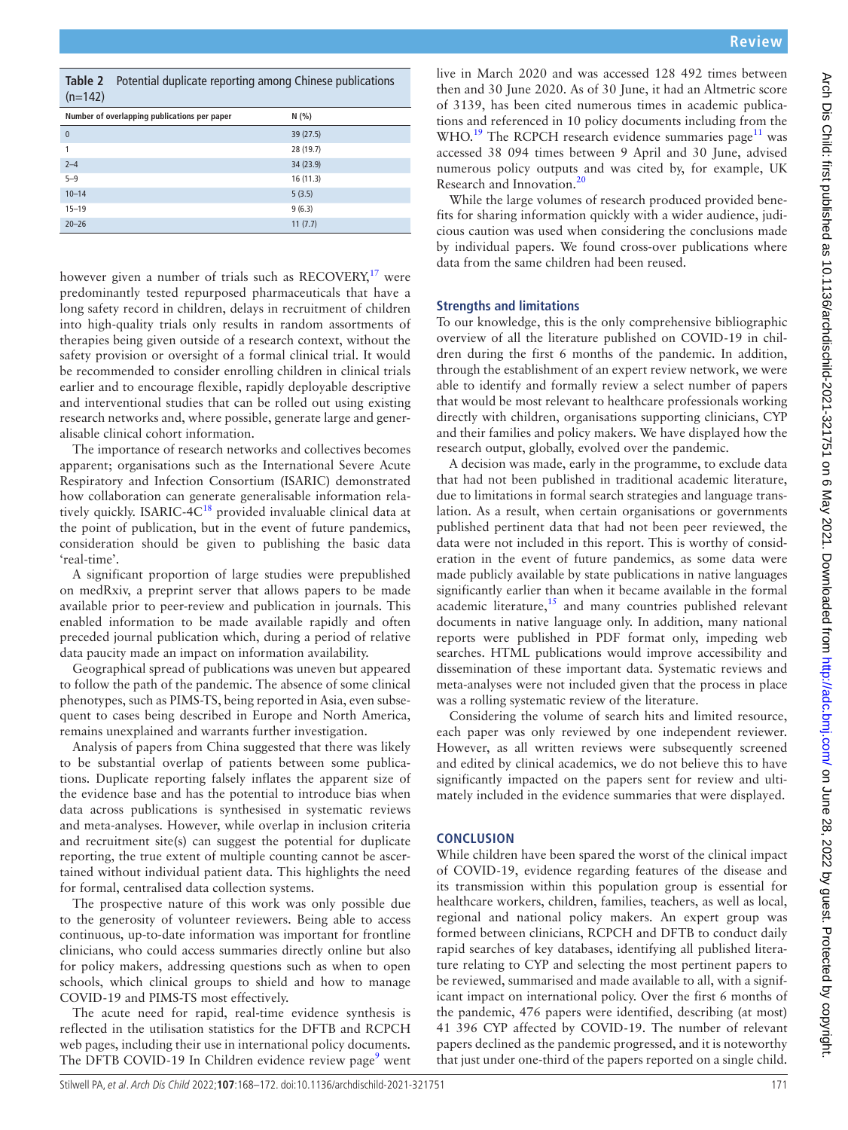Research and Innovation.<sup>[20](#page-4-13)</sup>

**Strengths and limitations**

data from the same children had been reused.

research output, globally, evolved over the pandemic.

was a rolling systematic review of the literature.

## **CONCLUSION**

While children have been spared the worst of the clinical impact of COVID-19, evidence regarding features of the disease and its transmission within this population group is essential for healthcare workers, children, families, teachers, as well as local, regional and national policy makers. An expert group was formed between clinicians, RCPCH and DFTB to conduct daily rapid searches of key databases, identifying all published literature relating to CYP and selecting the most pertinent papers to be reviewed, summarised and made available to all, with a significant impact on international policy. Over the first 6 months of the pandemic, 476 papers were identified, describing (at most) 41 396 CYP affected by COVID-19. The number of relevant papers declined as the pandemic progressed, and it is noteworthy that just under one-third of the papers reported on a single child.

significantly impacted on the papers sent for review and ultimately included in the evidence summaries that were displayed.

| 0         | 39(27.5)  |
|-----------|-----------|
| 1         | 28 (19.7) |
| $2 - 4$   | 34 (23.9) |
| $5 - 9$   | 16(11.3)  |
| $10 - 14$ | 5(3.5)    |
| $15 - 19$ | 9(6.3)    |
| $20 - 26$ | 11(7.7)   |

<span id="page-3-0"></span>**Table 2** Potential duplicate reporting among Chinese publications

**Number of overlapping publications per paper N (%)**

 $(n=142)$ 

however given a number of trials such as  $RECOVERY<sub>1</sub><sup>17</sup>$  $RECOVERY<sub>1</sub><sup>17</sup>$  $RECOVERY<sub>1</sub><sup>17</sup>$  were predominantly tested repurposed pharmaceuticals that have a long safety record in children, delays in recruitment of children into high-quality trials only results in random assortments of therapies being given outside of a research context, without the safety provision or oversight of a formal clinical trial. It would be recommended to consider enrolling children in clinical trials earlier and to encourage flexible, rapidly deployable descriptive and interventional studies that can be rolled out using existing research networks and, where possible, generate large and generalisable clinical cohort information.

The importance of research networks and collectives becomes apparent; organisations such as the International Severe Acute Respiratory and Infection Consortium (ISARIC) demonstrated how collaboration can generate generalisable information rela-tively quickly. ISARIC-4C<sup>[18](#page-4-11)</sup> provided invaluable clinical data at the point of publication, but in the event of future pandemics, consideration should be given to publishing the basic data 'real-time'.

A significant proportion of large studies were prepublished on medRxiv, a preprint server that allows papers to be made available prior to peer-review and publication in journals. This enabled information to be made available rapidly and often preceded journal publication which, during a period of relative data paucity made an impact on information availability.

Geographical spread of publications was uneven but appeared to follow the path of the pandemic. The absence of some clinical phenotypes, such as PIMS-TS, being reported in Asia, even subsequent to cases being described in Europe and North America, remains unexplained and warrants further investigation.

Analysis of papers from China suggested that there was likely to be substantial overlap of patients between some publications. Duplicate reporting falsely inflates the apparent size of the evidence base and has the potential to introduce bias when data across publications is synthesised in systematic reviews and meta-analyses. However, while overlap in inclusion criteria and recruitment site(s) can suggest the potential for duplicate reporting, the true extent of multiple counting cannot be ascertained without individual patient data. This highlights the need for formal, centralised data collection systems.

The prospective nature of this work was only possible due to the generosity of volunteer reviewers. Being able to access continuous, up-to-date information was important for frontline clinicians, who could access summaries directly online but also for policy makers, addressing questions such as when to open schools, which clinical groups to shield and how to manage COVID-19 and PIMS-TS most effectively.

The acute need for rapid, real-time evidence synthesis is reflected in the utilisation statistics for the DFTB and RCPCH web pages, including their use in international policy documents. The DFTB COVID-1[9](#page-4-3) In Children evidence review page<sup>9</sup> went live in March 2020 and was accessed 128 492 times between

Arch Dis Child: first published as 10.1136/archdischild-2021-321751 on 6 May 2021. Downloaded from http://adc.bmj.com/on June 28, 2022 by guest. Protected by copyright Arch Dis Child: first published as 10.1136/archdischild-2021-321751 on May 2021. Downloaded from <http://adc.bmj.com/> On June 28, 2022 by guest. Protected by copyright. then and 30 June 2020. As of 30 June, it had an Altmetric score of 3139, has been cited numerous times in academic publications and referenced in 10 policy documents including from the WHO.<sup>[19](#page-4-12)</sup> The RCPCH research evidence summaries page<sup>11</sup> was accessed 38 094 times between 9 April and 30 June, advised numerous policy outputs and was cited by, for example, UK While the large volumes of research produced provided benefits for sharing information quickly with a wider audience, judicious caution was used when considering the conclusions made by individual papers. We found cross-over publications where To our knowledge, this is the only comprehensive bibliographic overview of all the literature published on COVID-19 in children during the first 6 months of the pandemic. In addition, through the establishment of an expert review network, we were able to identify and formally review a select number of papers that would be most relevant to healthcare professionals working directly with children, organisations supporting clinicians, CYP and their families and policy makers. We have displayed how the A decision was made, early in the programme, to exclude data that had not been published in traditional academic literature, due to limitations in formal search strategies and language translation. As a result, when certain organisations or governments published pertinent data that had not been peer reviewed, the data were not included in this report. This is worthy of consideration in the event of future pandemics, as some data were made publicly available by state publications in native languages significantly earlier than when it became available in the formal academic literature, $15$  and many countries published relevant documents in native language only. In addition, many national reports were published in PDF format only, impeding web searches. HTML publications would improve accessibility and dissemination of these important data. Systematic reviews and meta-analyses were not included given that the process in place Considering the volume of search hits and limited resource, each paper was only reviewed by one independent reviewer. However, as all written reviews were subsequently screened